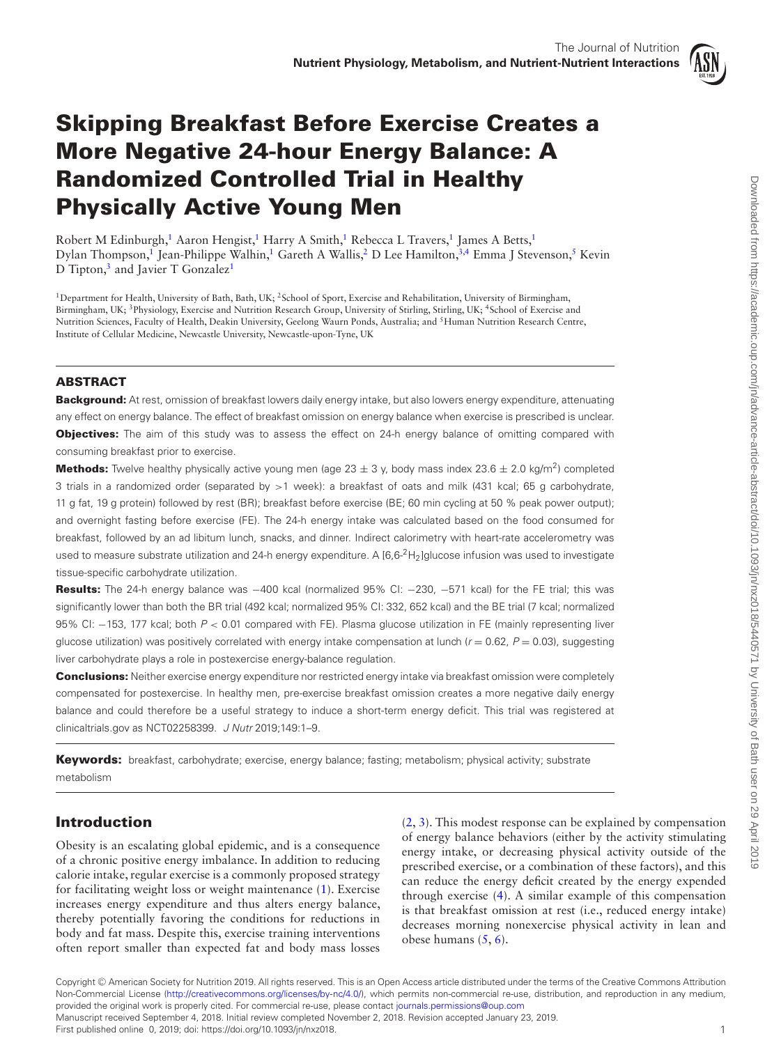<span id="page-0-4"></span><span id="page-0-3"></span>

# **Skipping Breakfast Before Exercise Creates a More Negative 24-hour Energy Balance: A Randomized Controlled Trial in Healthy Physically Active Young Men**

Robert M Edinburgh,<sup>1</sup> Aaron Hengist,<sup>1</sup> Harry A Smith,<sup>1</sup> Rebecca L Travers,<sup>1</sup> James A Betts,<sup>1</sup> Dylan Thompson,<sup>1</sup> Jean-Philippe Walhin,<sup>1</sup> Gareth A Wallis,<sup>2</sup> D Lee Hamilton,<sup>3[,4](#page-0-3)</sup> Emma J Stevenson,<sup>5</sup> Kevin D Tipton, $3$  and Javier T Gonzalez<sup>1</sup>

<span id="page-0-2"></span><span id="page-0-1"></span><span id="page-0-0"></span><sup>1</sup>Department for Health, University of Bath, Bath, UK; <sup>2</sup>School of Sport, Exercise and Rehabilitation, University of Birmingham, Birmingham, UK; <sup>3</sup>Physiology, Exercise and Nutrition Research Group, University of Stirling, Stirling, UK; <sup>4</sup>School of Exercise and Nutrition Sciences, Faculty of Health, Deakin University, Geelong Waurn Ponds, Australia; and <sup>5</sup>Human Nutrition Research Centre, Institute of Cellular Medicine, Newcastle University, Newcastle-upon-Tyne, UK

# **ABSTRACT**

**Background:** At rest, omission of breakfast lowers daily energy intake, but also lowers energy expenditure, attenuating any effect on energy balance. The effect of breakfast omission on energy balance when exercise is prescribed is unclear. **Objectives:** The aim of this study was to assess the effect on 24-h energy balance of omitting compared with consuming breakfast prior to exercise.

**Methods:** Twelve healthy physically active young men (age  $23 \pm 3$  y, body mass index  $23.6 \pm 2.0$  kg/m<sup>2</sup>) completed 3 trials in a randomized order (separated by >1 week): a breakfast of oats and milk (431 kcal; 65 g carbohydrate, 11 g fat, 19 g protein) followed by rest (BR); breakfast before exercise (BE; 60 min cycling at 50 % peak power output); and overnight fasting before exercise (FE). The 24-h energy intake was calculated based on the food consumed for breakfast, followed by an ad libitum lunch, snacks, and dinner. Indirect calorimetry with heart-rate accelerometry was used to measure substrate utilization and 24-h energy expenditure. A [6,6-<sup>2</sup>H<sub>2</sub>]glucose infusion was used to investigate tissue-specific carbohydrate utilization.

**Results:** The 24-h energy balance was -400 kcal (normalized 95% CI: -230, -571 kcal) for the FE trial; this was significantly lower than both the BR trial (492 kcal; normalized 95% CI: 332, 652 kcal) and the BE trial (7 kcal; normalized 95% CI: −153, 177 kcal; both P < 0.01 compared with FE). Plasma glucose utilization in FE (mainly representing liver glucose utilization) was positively correlated with energy intake compensation at lunch ( $r = 0.62$ ,  $P = 0.03$ ), suggesting liver carbohydrate plays a role in postexercise energy-balance regulation.

**Conclusions:** Neither exercise energy expenditure nor restricted energy intake via breakfast omission were completely compensated for postexercise. In healthy men, pre-exercise breakfast omission creates a more negative daily energy balance and could therefore be a useful strategy to induce a short-term energy deficit. This trial was registered at clinicaltrials.gov as NCT02258399. J Nutr 2019;149:1–9.

**Keywords:** breakfast, carbohydrate; exercise, energy balance; fasting; metabolism; physical activity; substrate metabolism

# **Introduction**

Obesity is an escalating global epidemic, and is a consequence of a chronic positive energy imbalance. In addition to reducing calorie intake, regular exercise is a commonly proposed strategy for facilitating weight loss or weight maintenance [\(1\)](#page-7-0). Exercise increases energy expenditure and thus alters energy balance, thereby potentially favoring the conditions for reductions in body and fat mass. Despite this, exercise training interventions often report smaller than expected fat and body mass losses

[\(2,](#page-7-1) [3\)](#page-7-2). This modest response can be explained by compensation of energy balance behaviors (either by the activity stimulating energy intake, or decreasing physical activity outside of the prescribed exercise, or a combination of these factors), and this can reduce the energy deficit created by the energy expended through exercise [\(4\)](#page-7-3). A similar example of this compensation is that breakfast omission at rest (i.e., reduced energy intake) decreases morning nonexercise physical activity in lean and obese humans [\(5,](#page-7-4) [6\)](#page-7-5).

Copyright © American Society for Nutrition 2019. All rights reserved. This is an Open Access article distributed under the terms of the Creative Commons Attribution Non-Commercial License [\(http://creativecommons.org/licenses/by-nc/4.0/\)](http://creativecommons.org/licenses/by-nc/4.0/), which permits non-commercial re-use, distribution, and reproduction in any medium, provided the original work is properly cited. For commercial re-use, please contact [journals.permissions@oup.com](mailto:journals.permissions@oup.com)

Manuscript received September 4, 2018. Initial review completed November 2, 2018. Revision accepted January 23, 2019.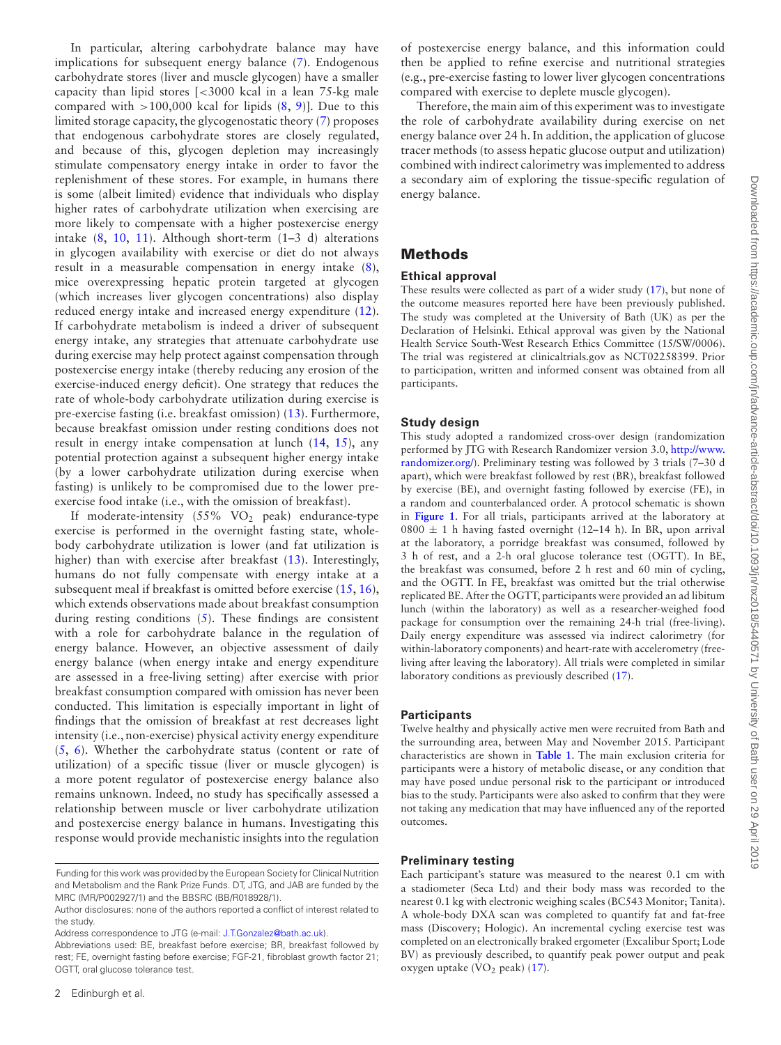In particular, altering carbohydrate balance may have implications for subsequent energy balance [\(7\)](#page-7-6). Endogenous carbohydrate stores (liver and muscle glycogen) have a smaller capacity than lipid stores [<3000 kcal in a lean 75-kg male compared with  $>100,000$  kcal for lipids  $(8, 9)$  $(8, 9)$  $(8, 9)$ ]. Due to this limited storage capacity, the glycogenostatic theory [\(7\)](#page-7-6) proposes that endogenous carbohydrate stores are closely regulated, and because of this, glycogen depletion may increasingly stimulate compensatory energy intake in order to favor the replenishment of these stores. For example, in humans there is some (albeit limited) evidence that individuals who display higher rates of carbohydrate utilization when exercising are more likely to compensate with a higher postexercise energy intake [\(8,](#page-7-7) [10,](#page-7-9) [11\)](#page-7-10). Although short-term (1–3 d) alterations in glycogen availability with exercise or diet do not always result in a measurable compensation in energy intake [\(8\)](#page-7-7), mice overexpressing hepatic protein targeted at glycogen (which increases liver glycogen concentrations) also display reduced energy intake and increased energy expenditure [\(12\)](#page-7-11). If carbohydrate metabolism is indeed a driver of subsequent energy intake, any strategies that attenuate carbohydrate use during exercise may help protect against compensation through postexercise energy intake (thereby reducing any erosion of the exercise-induced energy deficit). One strategy that reduces the rate of whole-body carbohydrate utilization during exercise is pre-exercise fasting (i.e. breakfast omission) [\(13\)](#page-7-12). Furthermore, because breakfast omission under resting conditions does not result in energy intake compensation at lunch [\(14,](#page-8-0) [15\)](#page-8-1), any potential protection against a subsequent higher energy intake (by a lower carbohydrate utilization during exercise when fasting) is unlikely to be compromised due to the lower preexercise food intake (i.e., with the omission of breakfast).

If moderate-intensity  $(55\% \text{ VO}_2 \text{ peak})$  endurance-type exercise is performed in the overnight fasting state, wholebody carbohydrate utilization is lower (and fat utilization is higher) than with exercise after breakfast [\(13\)](#page-7-12). Interestingly, humans do not fully compensate with energy intake at a subsequent meal if breakfast is omitted before exercise [\(15,](#page-8-1) [16\)](#page-8-2), which extends observations made about breakfast consumption during resting conditions [\(5\)](#page-7-4). These findings are consistent with a role for carbohydrate balance in the regulation of energy balance. However, an objective assessment of daily energy balance (when energy intake and energy expenditure are assessed in a free-living setting) after exercise with prior breakfast consumption compared with omission has never been conducted. This limitation is especially important in light of findings that the omission of breakfast at rest decreases light intensity (i.e., non-exercise) physical activity energy expenditure [\(5,](#page-7-4) [6\)](#page-7-5). Whether the carbohydrate status (content or rate of utilization) of a specific tissue (liver or muscle glycogen) is a more potent regulator of postexercise energy balance also remains unknown. Indeed, no study has specifically assessed a relationship between muscle or liver carbohydrate utilization and postexercise energy balance in humans. Investigating this response would provide mechanistic insights into the regulation

of postexercise energy balance, and this information could then be applied to refine exercise and nutritional strategies (e.g., pre-exercise fasting to lower liver glycogen concentrations compared with exercise to deplete muscle glycogen).

Therefore, the main aim of this experiment was to investigate the role of carbohydrate availability during exercise on net energy balance over 24 h. In addition, the application of glucose tracer methods (to assess hepatic glucose output and utilization) combined with indirect calorimetry was implemented to address a secondary aim of exploring the tissue-specific regulation of energy balance.

# **Methods**

## **Ethical approval**

These results were collected as part of a wider study [\(17\)](#page-8-3), but none of the outcome measures reported here have been previously published. The study was completed at the University of Bath (UK) as per the Declaration of Helsinki. Ethical approval was given by the National Health Service South-West Research Ethics Committee (15/SW/0006). The trial was registered at clinicaltrials.gov as NCT02258399. Prior to participation, written and informed consent was obtained from all participants.

## **Study design**

This study adopted a randomized cross-over design (randomization performed by JTG with Research Randomizer version 3.0, http://www. [randomizer.org/\). Preliminary testing was followed by 3 trials \(7–30 d](http://www.randomizer.org/) apart), which were breakfast followed by rest (BR), breakfast followed by exercise (BE), and overnight fasting followed by exercise (FE), in a random and counterbalanced order. A protocol schematic is shown in **[Figure 1](#page-2-0)**. For all trials, participants arrived at the laboratory at 0800  $\pm$  1 h having fasted overnight (12-14 h). In BR, upon arrival at the laboratory, a porridge breakfast was consumed, followed by 3 h of rest, and a 2-h oral glucose tolerance test (OGTT). In BE, the breakfast was consumed, before 2 h rest and 60 min of cycling, and the OGTT. In FE, breakfast was omitted but the trial otherwise replicated BE. After the OGTT, participants were provided an ad libitum lunch (within the laboratory) as well as a researcher-weighed food package for consumption over the remaining 24-h trial (free-living). Daily energy expenditure was assessed via indirect calorimetry (for within-laboratory components) and heart-rate with accelerometry (freeliving after leaving the laboratory). All trials were completed in similar laboratory conditions as previously described [\(17\)](#page-8-3).

#### **Participants**

Twelve healthy and physically active men were recruited from Bath and the surrounding area, between May and November 2015. Participant characteristics are shown in **[Table 1](#page-2-1)**. The main exclusion criteria for participants were a history of metabolic disease, or any condition that may have posed undue personal risk to the participant or introduced bias to the study. Participants were also asked to confirm that they were not taking any medication that may have influenced any of the reported outcomes.

#### **Preliminary testing**

Each participant's stature was measured to the nearest 0.1 cm with a stadiometer (Seca Ltd) and their body mass was recorded to the nearest 0.1 kg with electronic weighing scales (BC543 Monitor; Tanita). A whole-body DXA scan was completed to quantify fat and fat-free mass (Discovery; Hologic). An incremental cycling exercise test was completed on an electronically braked ergometer (Excalibur Sport; Lode BV) as previously described, to quantify peak power output and peak oxygen uptake  $(VO<sub>2</sub>$  peak) [\(17\)](#page-8-3).

Funding for this work was provided by the European Society for Clinical Nutrition and Metabolism and the Rank Prize Funds. DT, JTG, and JAB are funded by the MRC (MR/P002927/1) and the BBSRC (BB/R018928/1).

Author disclosures: none of the authors reported a conflict of interest related to the study.

Address correspondence to JTG (e-mail: [J.T.Gonzalez@bath.ac.uk\)](mailto:J.T.Gonzalez@bath.ac.uk).

Abbreviations used: BE, breakfast before exercise; BR, breakfast followed by rest; FE, overnight fasting before exercise; FGF-21, fibroblast growth factor 21; OGTT, oral glucose tolerance test.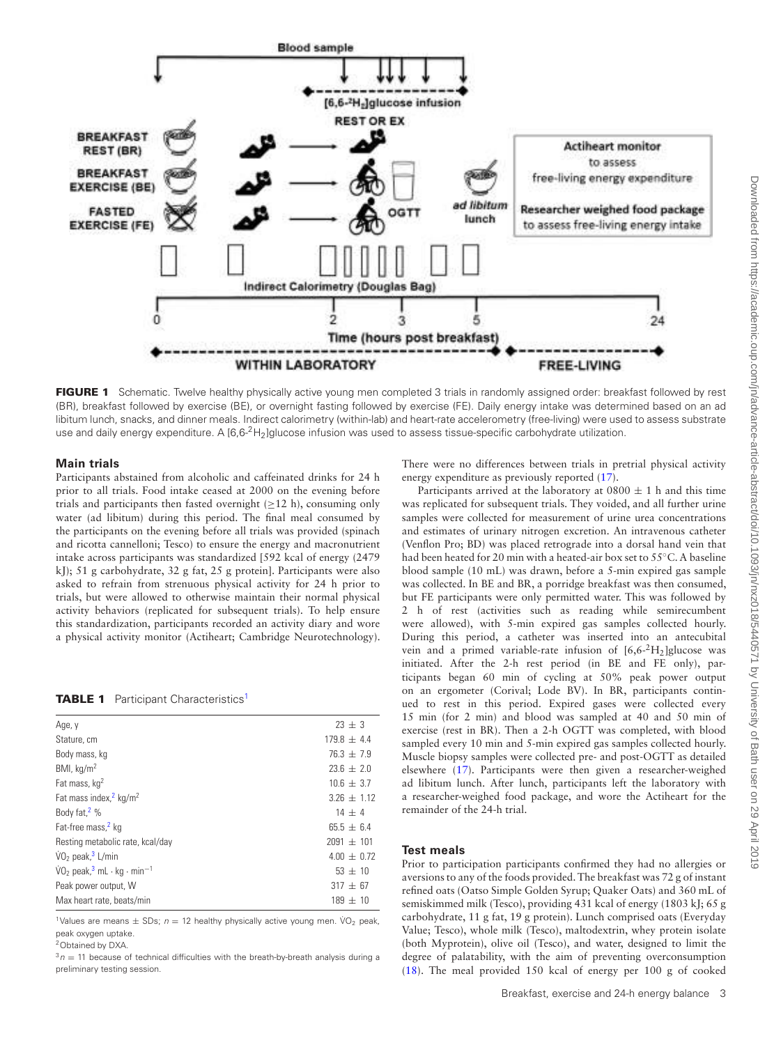<span id="page-2-0"></span>

**FIGURE 1** Schematic. Twelve healthy physically active young men completed 3 trials in randomly assigned order: breakfast followed by rest (BR), breakfast followed by exercise (BE), or overnight fasting followed by exercise (FE). Daily energy intake was determined based on an ad libitum lunch, snacks, and dinner meals. Indirect calorimetry (within-lab) and heart-rate accelerometry (free-living) were used to assess substrate use and daily energy expenditure. A  $[6,6^{-2}H_2]$ glucose infusion was used to assess tissue-specific carbohydrate utilization.

#### **Main trials**

Participants abstained from alcoholic and caffeinated drinks for 24 h prior to all trials. Food intake ceased at 2000 on the evening before trials and participants then fasted overnight  $(\geq 12 \text{ h})$ , consuming only water (ad libitum) during this period. The final meal consumed by the participants on the evening before all trials was provided (spinach and ricotta cannelloni; Tesco) to ensure the energy and macronutrient intake across participants was standardized [592 kcal of energy (2479 kJ); 51 g carbohydrate, 32 g fat, 25 g protein]. Participants were also asked to refrain from strenuous physical activity for 24 h prior to trials, but were allowed to otherwise maintain their normal physical activity behaviors (replicated for subsequent trials). To help ensure this standardization, participants recorded an activity diary and wore a physical activity monitor (Actiheart; Cambridge Neurotechnology).

<span id="page-2-1"></span>

| <b>TABLE 1</b> |  | Participant Characteristics <sup>1</sup> |
|----------------|--|------------------------------------------|
|----------------|--|------------------------------------------|

| Age, y                                                           | $23 \pm 3$      |
|------------------------------------------------------------------|-----------------|
| Stature, cm                                                      | $179.8 \pm 4.4$ |
| Body mass, kg                                                    | $76.3 \pm 7.9$  |
| BMI, kq/m <sup>2</sup>                                           | $23.6 \pm 2.0$  |
| Fat mass, kg <sup>2</sup>                                        | $10.6 \pm 3.7$  |
| Fat mass index, <sup>2</sup> kg/m <sup>2</sup>                   | $3.26 \pm 1.12$ |
| Body fat, <sup>2</sup> %                                         | $14 \pm 4$      |
| Fat-free mass, <sup>2</sup> kg                                   | $65.5 + 6.4$    |
| Resting metabolic rate, kcal/day                                 | $2091 \pm 101$  |
| $VO2$ peak, <sup>3</sup> L/min                                   | $4.00 \pm 0.72$ |
| $VO2$ peak, <sup>3</sup> mL $\cdot$ kg $\cdot$ min <sup>-1</sup> | $53 \pm 10$     |
| Peak power output, W                                             | $317 \pm 67$    |
| Max heart rate, beats/min                                        | $189 \pm 10$    |

<span id="page-2-2"></span><sup>1</sup>Values are means  $\pm$  SDs; n = 12 healthy physically active young men. VO<sub>2</sub> peak, peak oxygen uptake.

<span id="page-2-3"></span>2Obtained by DXA.

<span id="page-2-4"></span> $3n = 11$  because of technical difficulties with the breath-by-breath analysis during a preliminary testing session.

There were no differences between trials in pretrial physical activity energy expenditure as previously reported [\(17\)](#page-8-3).

Participants arrived at the laboratory at  $0800 \pm 1$  h and this time was replicated for subsequent trials. They voided, and all further urine samples were collected for measurement of urine urea concentrations and estimates of urinary nitrogen excretion. An intravenous catheter (Venflon Pro; BD) was placed retrograde into a dorsal hand vein that had been heated for 20 min with a heated-air box set to 55◦C. A baseline blood sample (10 mL) was drawn, before a 5-min expired gas sample was collected. In BE and BR, a porridge breakfast was then consumed, but FE participants were only permitted water. This was followed by 2 h of rest (activities such as reading while semirecumbent were allowed), with 5-min expired gas samples collected hourly. During this period, a catheter was inserted into an antecubital vein and a primed variable-rate infusion of  $[6,6^{-2}H_2]$ glucose was initiated. After the 2-h rest period (in BE and FE only), participants began 60 min of cycling at 50% peak power output on an ergometer (Corival; Lode BV). In BR, participants continued to rest in this period. Expired gases were collected every 15 min (for 2 min) and blood was sampled at 40 and 50 min of exercise (rest in BR). Then a 2-h OGTT was completed, with blood sampled every 10 min and 5-min expired gas samples collected hourly. Muscle biopsy samples were collected pre- and post-OGTT as detailed elsewhere [\(17\)](#page-8-3). Participants were then given a researcher-weighed ad libitum lunch. After lunch, participants left the laboratory with a researcher-weighed food package, and wore the Actiheart for the remainder of the 24-h trial.

## **Test meals**

Prior to participation participants confirmed they had no allergies or aversions to any of the foods provided. The breakfast was 72 g of instant refined oats (Oatso Simple Golden Syrup; Quaker Oats) and 360 mL of semiskimmed milk (Tesco), providing 431 kcal of energy (1803 kJ; 65 g carbohydrate, 11 g fat, 19 g protein). Lunch comprised oats (Everyday Value; Tesco), whole milk (Tesco), maltodextrin, whey protein isolate (both Myprotein), olive oil (Tesco), and water, designed to limit the degree of palatability, with the aim of preventing overconsumption [\(18\)](#page-8-4). The meal provided 150 kcal of energy per 100 g of cooked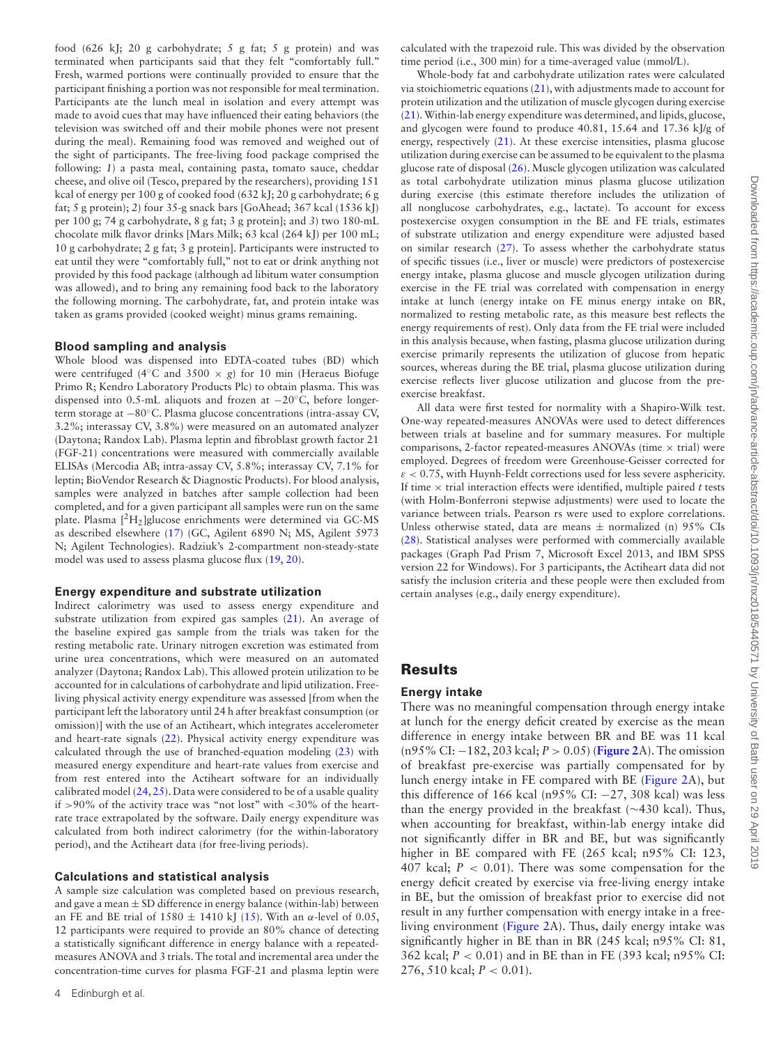food (626 kJ; 20 g carbohydrate; 5 g fat; 5 g protein) and was terminated when participants said that they felt "comfortably full." Fresh, warmed portions were continually provided to ensure that the participant finishing a portion was not responsible for meal termination. Participants ate the lunch meal in isolation and every attempt was made to avoid cues that may have influenced their eating behaviors (the television was switched off and their mobile phones were not present during the meal). Remaining food was removed and weighed out of the sight of participants. The free-living food package comprised the following: *1*) a pasta meal, containing pasta, tomato sauce, cheddar cheese, and olive oil (Tesco, prepared by the researchers), providing 151 kcal of energy per 100 g of cooked food (632 kJ; 20 g carbohydrate; 6 g fat; 5 g protein); *2*) four 35-g snack bars [GoAhead; 367 kcal (1536 kJ) per 100 g; 74 g carbohydrate, 8 g fat; 3 g protein]; and *3*) two 180-mL chocolate milk flavor drinks [Mars Milk; 63 kcal (264 kJ) per 100 mL; 10 g carbohydrate; 2 g fat; 3 g protein]. Participants were instructed to eat until they were "comfortably full," not to eat or drink anything not provided by this food package (although ad libitum water consumption was allowed), and to bring any remaining food back to the laboratory the following morning. The carbohydrate, fat, and protein intake was taken as grams provided (cooked weight) minus grams remaining.

#### **Blood sampling and analysis**

Whole blood was dispensed into EDTA-coated tubes (BD) which were centrifuged (4◦C and 3500 × *g*) for 10 min (Heraeus Biofuge Primo R; Kendro Laboratory Products Plc) to obtain plasma. This was dispensed into 0.5-mL aliquots and frozen at −20◦C, before longerterm storage at −80◦C. Plasma glucose concentrations (intra-assay CV, 3.2%; interassay CV, 3.8%) were measured on an automated analyzer (Daytona; Randox Lab). Plasma leptin and fibroblast growth factor 21 (FGF-21) concentrations were measured with commercially available ELISAs (Mercodia AB; intra-assay CV, 5.8%; interassay CV, 7.1% for leptin; BioVendor Research & Diagnostic Products). For blood analysis, samples were analyzed in batches after sample collection had been completed, and for a given participant all samples were run on the same plate. Plasma  $[^{2}H_{2}]$ glucose enrichments were determined via GC-MS as described elsewhere [\(17\)](#page-8-3) (GC, Agilent 6890 N; MS, Agilent 5973 N; Agilent Technologies). Radziuk's 2-compartment non-steady-state model was used to assess plasma glucose flux [\(19,](#page-8-5) [20\)](#page-8-6).

#### **Energy expenditure and substrate utilization**

Indirect calorimetry was used to assess energy expenditure and substrate utilization from expired gas samples [\(21\)](#page-8-7). An average of the baseline expired gas sample from the trials was taken for the resting metabolic rate. Urinary nitrogen excretion was estimated from urine urea concentrations, which were measured on an automated analyzer (Daytona; Randox Lab). This allowed protein utilization to be accounted for in calculations of carbohydrate and lipid utilization. Freeliving physical activity energy expenditure was assessed [from when the participant left the laboratory until 24 h after breakfast consumption (or omission)] with the use of an Actiheart, which integrates accelerometer and heart-rate signals [\(22\)](#page-8-8). Physical activity energy expenditure was calculated through the use of branched-equation modeling [\(23\)](#page-8-9) with measured energy expenditure and heart-rate values from exercise and from rest entered into the Actiheart software for an individually calibrated model [\(24,](#page-8-10) [25\)](#page-8-11). Data were considered to be of a usable quality if  $>90\%$  of the activity trace was "not lost" with  $<$ 30% of the heartrate trace extrapolated by the software. Daily energy expenditure was calculated from both indirect calorimetry (for the within-laboratory period), and the Actiheart data (for free-living periods).

#### **Calculations and statistical analysis**

A sample size calculation was completed based on previous research, and gave a mean  $\pm$  SD difference in energy balance (within-lab) between an FE and BE trial of 1580  $\pm$  1410 kJ [\(15\)](#page-8-1). With an α-level of 0.05, 12 participants were required to provide an 80% chance of detecting a statistically significant difference in energy balance with a repeatedmeasures ANOVA and 3 trials. The total and incremental area under the concentration-time curves for plasma FGF-21 and plasma leptin were

calculated with the trapezoid rule. This was divided by the observation time period (i.e., 300 min) for a time-averaged value (mmol/L).

Whole-body fat and carbohydrate utilization rates were calculated via stoichiometric equations [\(21\)](#page-8-7), with adjustments made to account for protein utilization and the utilization of muscle glycogen during exercise [\(21\)](#page-8-7).Within-lab energy expenditure was determined, and lipids, glucose, and glycogen were found to produce 40.81, 15.64 and 17.36 kJ/g of energy, respectively [\(21\)](#page-8-7). At these exercise intensities, plasma glucose utilization during exercise can be assumed to be equivalent to the plasma glucose rate of disposal [\(26\)](#page-8-12). Muscle glycogen utilization was calculated as total carbohydrate utilization minus plasma glucose utilization during exercise (this estimate therefore includes the utilization of all nonglucose carbohydrates, e.g., lactate). To account for excess postexercise oxygen consumption in the BE and FE trials, estimates of substrate utilization and energy expenditure were adjusted based on similar research [\(27\)](#page-8-13). To assess whether the carbohydrate status of specific tissues (i.e., liver or muscle) were predictors of postexercise energy intake, plasma glucose and muscle glycogen utilization during exercise in the FE trial was correlated with compensation in energy intake at lunch (energy intake on FE minus energy intake on BR, normalized to resting metabolic rate, as this measure best reflects the energy requirements of rest). Only data from the FE trial were included in this analysis because, when fasting, plasma glucose utilization during exercise primarily represents the utilization of glucose from hepatic sources, whereas during the BE trial, plasma glucose utilization during exercise reflects liver glucose utilization and glucose from the preexercise breakfast.

All data were first tested for normality with a Shapiro-Wilk test. One-way repeated-measures ANOVAs were used to detect differences between trials at baseline and for summary measures. For multiple comparisons, 2-factor repeated-measures ANOVAs (time  $\times$  trial) were employed. Degrees of freedom were Greenhouse-Geisser corrected for  $\varepsilon$  < 0.75, with Huynh-Feldt corrections used for less severe asphericity. If time  $\times$  trial interaction effects were identified, multiple paired  $t$  tests (with Holm-Bonferroni stepwise adjustments) were used to locate the variance between trials. Pearson rs were used to explore correlations. Unless otherwise stated, data are means  $\pm$  normalized (n) 95% CIs [\(28\)](#page-8-14). Statistical analyses were performed with commercially available packages (Graph Pad Prism 7, Microsoft Excel 2013, and IBM SPSS version 22 for Windows). For 3 participants, the Actiheart data did not satisfy the inclusion criteria and these people were then excluded from certain analyses (e.g., daily energy expenditure).

# **Results**

#### **Energy intake**

There was no meaningful compensation through energy intake at lunch for the energy deficit created by exercise as the mean difference in energy intake between BR and BE was 11 kcal (n95% CI: −182, 203 kcal; *P* > 0.05) (**[Figure 2](#page-4-0)**A). The omission of breakfast pre-exercise was partially compensated for by lunch energy intake in FE compared with BE [\(Figure 2A](#page-4-0)), but this difference of 166 kcal (n95% CI:  $-27$ , 308 kcal) was less than the energy provided in the breakfast (∼430 kcal). Thus, when accounting for breakfast, within-lab energy intake did not significantly differ in BR and BE, but was significantly higher in BE compared with FE (265 kcal; n95% CI: 123, 407 kcal;  $P < 0.01$ ). There was some compensation for the energy deficit created by exercise via free-living energy intake in BE, but the omission of breakfast prior to exercise did not result in any further compensation with energy intake in a freeliving environment [\(Figure 2A](#page-4-0)). Thus, daily energy intake was significantly higher in BE than in BR (245 kcal; n95% CI: 81, 362 kcal; *P* < 0.01) and in BE than in FE (393 kcal; n95% CI: 276, 510 kcal; *P* < 0.01).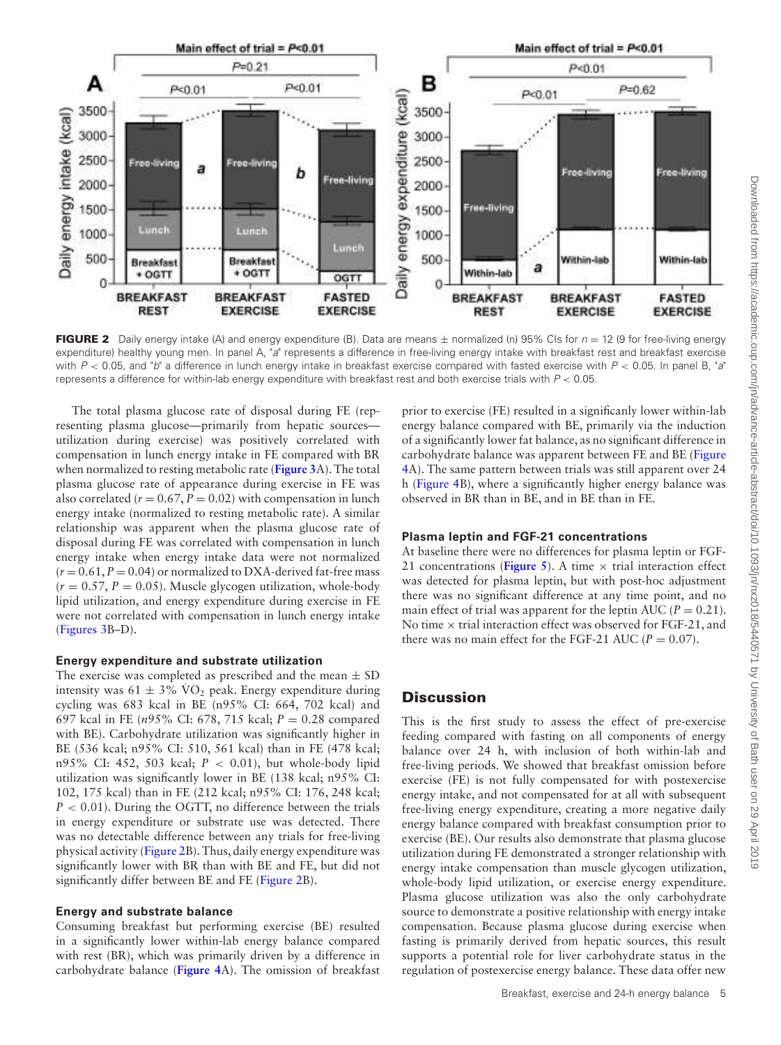<span id="page-4-0"></span>

**FIGURE 2** Daily energy intake (A) and energy expenditure (B). Data are means  $\pm$  normalized (n) 95% CIs for  $n = 12$  (9 for free-living energy expenditure) healthy young men. In panel A, "a" represents a difference in free-living energy intake with breakfast rest and breakfast exercise with  $P < 0.05$ , and "b" a difference in lunch energy intake in breakfast exercise compared with fasted exercise with  $P < 0.05$ . In panel B, "a" represents a difference for within-lab energy expenditure with breakfast rest and both exercise trials with  $P < 0.05$ .

The total plasma glucose rate of disposal during FE (representing plasma glucose—primarily from hepatic sources utilization during exercise) was positively correlated with compensation in lunch energy intake in FE compared with BR when normalized to resting metabolic rate (**[Figure 3](#page-5-0)**A). The total plasma glucose rate of appearance during exercise in FE was also correlated ( $r = 0.67$ ,  $P = 0.02$ ) with compensation in lunch energy intake (normalized to resting metabolic rate). A similar relationship was apparent when the plasma glucose rate of disposal during FE was correlated with compensation in lunch energy intake when energy intake data were not normalized  $(r = 0.61, P = 0.04)$  or normalized to DXA-derived fat-free mass  $(r = 0.57, P = 0.05)$ . Muscle glycogen utilization, whole-body lipid utilization, and energy expenditure during exercise in FE were not correlated with compensation in lunch energy intake [\(Figures 3B](#page-5-0)–D).

## **Energy expenditure and substrate utilization**

The exercise was completed as prescribed and the mean  $\pm$  SD intensity was  $61 \pm 3\%$  VO<sub>2</sub> peak. Energy expenditure during cycling was 683 kcal in BE (n95% CI: 664, 702 kcal) and 697 kcal in FE (*n*95% CI: 678, 715 kcal; *P* = 0.28 compared with BE). Carbohydrate utilization was significantly higher in BE (536 kcal; n95% CI: 510, 561 kcal) than in FE (478 kcal; n95% CI: 452, 503 kcal; *P* < 0.01), but whole-body lipid utilization was significantly lower in BE (138 kcal; n95% CI: 102, 175 kcal) than in FE (212 kcal; n95% CI: 176, 248 kcal; *P* < 0.01). During the OGTT, no difference between the trials in energy expenditure or substrate use was detected. There was no detectable difference between any trials for free-living physical activity [\(Figure 2B](#page-4-0)). Thus, daily energy expenditure was significantly lower with BR than with BE and FE, but did not significantly differ between BE and FE [\(Figure 2B](#page-4-0)).

# **Energy and substrate balance**

Consuming breakfast but performing exercise (BE) resulted in a significantly lower within-lab energy balance compared with rest (BR), which was primarily driven by a difference in carbohydrate balance (**[Figure 4](#page-6-0)**A). The omission of breakfast

prior to exercise (FE) resulted in a significanly lower within-lab energy balance compared with BE, primarily via the induction of a significantly lower fat balance, as no significant difference in [carbohydrate balance was apparent between FE and BE \(Figure](#page-6-0) 4A). The same pattern between trials was still apparent over 24 h [\(Figure 4B](#page-6-0)), where a significantly higher energy balance was observed in BR than in BE, and in BE than in FE.

## **Plasma leptin and FGF-21 concentrations**

At baseline there were no differences for plasma leptin or FGF-21 concentrations (**[Figure 5](#page-7-13)**). A time  $\times$  trial interaction effect was detected for plasma leptin, but with post-hoc adjustment there was no significant difference at any time point, and no main effect of trial was apparent for the leptin AUC ( $P = 0.21$ ). No time  $\times$  trial interaction effect was observed for FGF-21, and there was no main effect for the FGF-21 AUC ( $P = 0.07$ ).

# **Discussion**

This is the first study to assess the effect of pre-exercise feeding compared with fasting on all components of energy balance over 24 h, with inclusion of both within-lab and free-living periods. We showed that breakfast omission before exercise (FE) is not fully compensated for with postexercise energy intake, and not compensated for at all with subsequent free-living energy expenditure, creating a more negative daily energy balance compared with breakfast consumption prior to exercise (BE). Our results also demonstrate that plasma glucose utilization during FE demonstrated a stronger relationship with energy intake compensation than muscle glycogen utilization, whole-body lipid utilization, or exercise energy expenditure. Plasma glucose utilization was also the only carbohydrate source to demonstrate a positive relationship with energy intake compensation. Because plasma glucose during exercise when fasting is primarily derived from hepatic sources, this result supports a potential role for liver carbohydrate status in the regulation of postexercise energy balance. These data offer new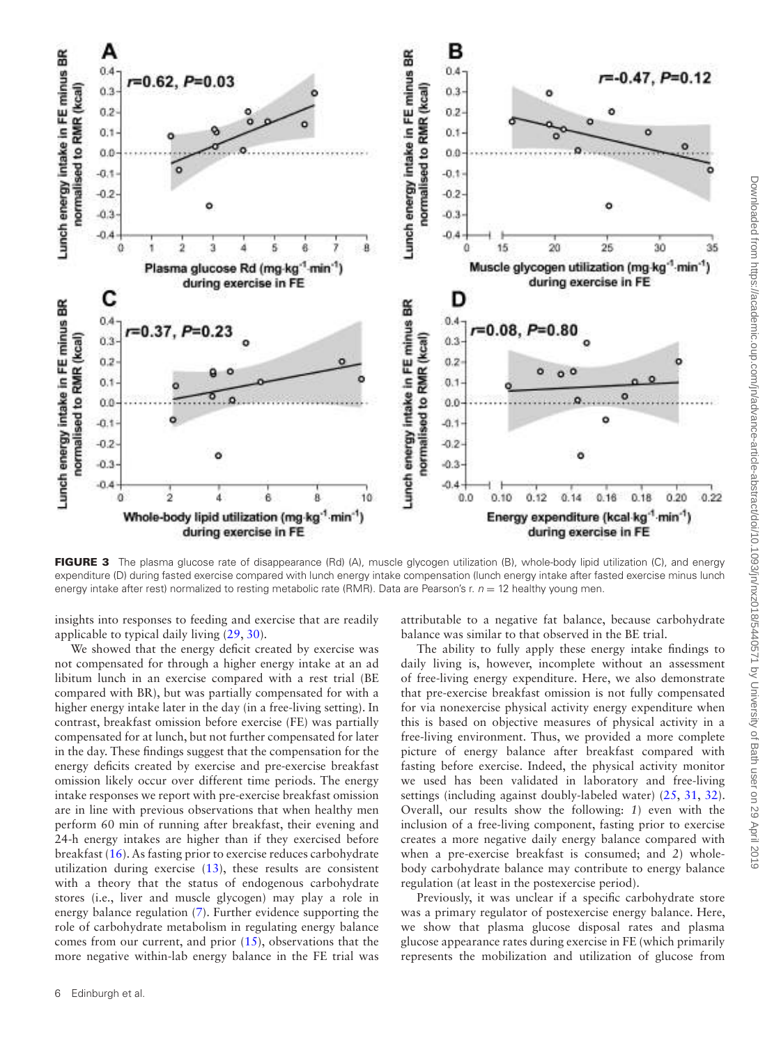<span id="page-5-0"></span>

FIGURE 3 The plasma glucose rate of disappearance (Rd) (A), muscle glycogen utilization (B), whole-body lipid utilization (C), and energy expenditure (D) during fasted exercise compared with lunch energy intake compensation (lunch energy intake after fasted exercise minus lunch energy intake after rest) normalized to resting metabolic rate (RMR). Data are Pearson's r.  $n = 12$  healthy young men.

insights into responses to feeding and exercise that are readily applicable to typical daily living [\(29,](#page-8-15) [30\)](#page-8-16).

We showed that the energy deficit created by exercise was not compensated for through a higher energy intake at an ad libitum lunch in an exercise compared with a rest trial (BE compared with BR), but was partially compensated for with a higher energy intake later in the day (in a free-living setting). In contrast, breakfast omission before exercise (FE) was partially compensated for at lunch, but not further compensated for later in the day. These findings suggest that the compensation for the energy deficits created by exercise and pre-exercise breakfast omission likely occur over different time periods. The energy intake responses we report with pre-exercise breakfast omission are in line with previous observations that when healthy men perform 60 min of running after breakfast, their evening and 24-h energy intakes are higher than if they exercised before breakfast [\(16\)](#page-8-2). As fasting prior to exercise reduces carbohydrate utilization during exercise  $(13)$ , these results are consistent with a theory that the status of endogenous carbohydrate stores (i.e., liver and muscle glycogen) may play a role in energy balance regulation [\(7\)](#page-7-6). Further evidence supporting the role of carbohydrate metabolism in regulating energy balance comes from our current, and prior  $(15)$ , observations that the more negative within-lab energy balance in the FE trial was attributable to a negative fat balance, because carbohydrate balance was similar to that observed in the BE trial.

The ability to fully apply these energy intake findings to daily living is, however, incomplete without an assessment of free-living energy expenditure. Here, we also demonstrate that pre-exercise breakfast omission is not fully compensated for via nonexercise physical activity energy expenditure when this is based on objective measures of physical activity in a free-living environment. Thus, we provided a more complete picture of energy balance after breakfast compared with fasting before exercise. Indeed, the physical activity monitor we used has been validated in laboratory and free-living settings (including against doubly-labeled water) [\(25,](#page-8-11) [31,](#page-8-17) [32\)](#page-8-18). Overall, our results show the following: *1*) even with the inclusion of a free-living component, fasting prior to exercise creates a more negative daily energy balance compared with when a pre-exercise breakfast is consumed; and *2*) wholebody carbohydrate balance may contribute to energy balance regulation (at least in the postexercise period).

Previously, it was unclear if a specific carbohydrate store was a primary regulator of postexercise energy balance. Here, we show that plasma glucose disposal rates and plasma glucose appearance rates during exercise in FE (which primarily represents the mobilization and utilization of glucose from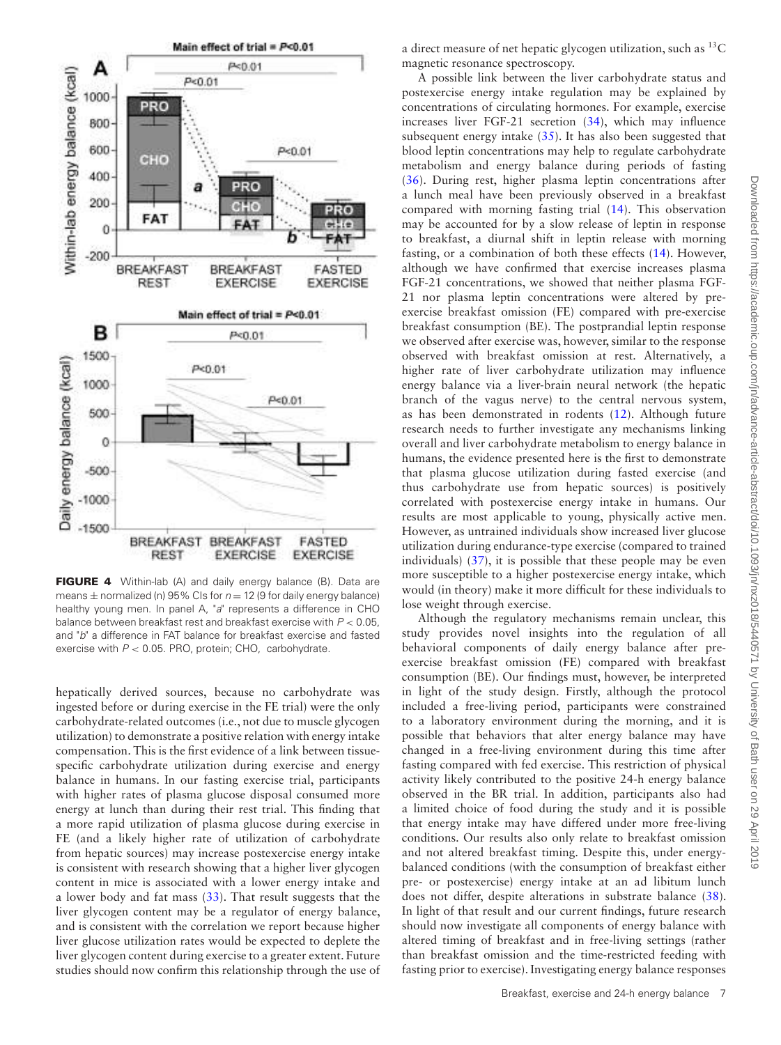<span id="page-6-0"></span>

**FIGURE 4** Within-lab (A) and daily energy balance (B). Data are means  $\pm$  normalized (n) 95% CIs for  $n = 12$  (9 for daily energy balance) healthy young men. In panel A, "a" represents a difference in CHO balance between breakfast rest and breakfast exercise with  $P < 0.05$ , and "b" a difference in FAT balance for breakfast exercise and fasted exercise with  $P < 0.05$ . PRO, protein; CHO, carbohydrate.

hepatically derived sources, because no carbohydrate was ingested before or during exercise in the FE trial) were the only carbohydrate-related outcomes (i.e., not due to muscle glycogen utilization) to demonstrate a positive relation with energy intake compensation. This is the first evidence of a link between tissuespecific carbohydrate utilization during exercise and energy balance in humans. In our fasting exercise trial, participants with higher rates of plasma glucose disposal consumed more energy at lunch than during their rest trial. This finding that a more rapid utilization of plasma glucose during exercise in FE (and a likely higher rate of utilization of carbohydrate from hepatic sources) may increase postexercise energy intake is consistent with research showing that a higher liver glycogen content in mice is associated with a lower energy intake and a lower body and fat mass [\(33\)](#page-8-19). That result suggests that the liver glycogen content may be a regulator of energy balance, and is consistent with the correlation we report because higher liver glucose utilization rates would be expected to deplete the liver glycogen content during exercise to a greater extent. Future studies should now confirm this relationship through the use of

a direct measure of net hepatic glycogen utilization, such as 13C magnetic resonance spectroscopy.

A possible link between the liver carbohydrate status and postexercise energy intake regulation may be explained by concentrations of circulating hormones. For example, exercise increases liver FGF-21 secretion [\(34\)](#page-8-20), which may influence subsequent energy intake  $(35)$ . It has also been suggested that blood leptin concentrations may help to regulate carbohydrate metabolism and energy balance during periods of fasting [\(36\)](#page-8-22). During rest, higher plasma leptin concentrations after a lunch meal have been previously observed in a breakfast compared with morning fasting trial [\(14\)](#page-8-0). This observation may be accounted for by a slow release of leptin in response to breakfast, a diurnal shift in leptin release with morning fasting, or a combination of both these effects [\(14\)](#page-8-0). However, although we have confirmed that exercise increases plasma FGF-21 concentrations, we showed that neither plasma FGF-21 nor plasma leptin concentrations were altered by preexercise breakfast omission (FE) compared with pre-exercise breakfast consumption (BE). The postprandial leptin response we observed after exercise was, however, similar to the response observed with breakfast omission at rest*.* Alternatively, a higher rate of liver carbohydrate utilization may influence energy balance via a liver-brain neural network (the hepatic branch of the vagus nerve) to the central nervous system, as has been demonstrated in rodents [\(12\)](#page-7-11). Although future research needs to further investigate any mechanisms linking overall and liver carbohydrate metabolism to energy balance in humans, the evidence presented here is the first to demonstrate that plasma glucose utilization during fasted exercise (and thus carbohydrate use from hepatic sources) is positively correlated with postexercise energy intake in humans. Our results are most applicable to young, physically active men. However, as untrained individuals show increased liver glucose utilization during endurance-type exercise (compared to trained individuals)  $(37)$ , it is possible that these people may be even more susceptible to a higher postexercise energy intake, which would (in theory) make it more difficult for these individuals to lose weight through exercise.

Although the regulatory mechanisms remain unclear, this study provides novel insights into the regulation of all behavioral components of daily energy balance after preexercise breakfast omission (FE) compared with breakfast consumption (BE). Our findings must, however, be interpreted in light of the study design. Firstly, although the protocol included a free-living period, participants were constrained to a laboratory environment during the morning, and it is possible that behaviors that alter energy balance may have changed in a free-living environment during this time after fasting compared with fed exercise. This restriction of physical activity likely contributed to the positive 24-h energy balance observed in the BR trial. In addition, participants also had a limited choice of food during the study and it is possible that energy intake may have differed under more free-living conditions. Our results also only relate to breakfast omission and not altered breakfast timing. Despite this, under energybalanced conditions (with the consumption of breakfast either pre- or postexercise) energy intake at an ad libitum lunch does not differ, despite alterations in substrate balance [\(38\)](#page-8-24). In light of that result and our current findings, future research should now investigate all components of energy balance with altered timing of breakfast and in free-living settings (rather than breakfast omission and the time-restricted feeding with fasting prior to exercise). Investigating energy balance responses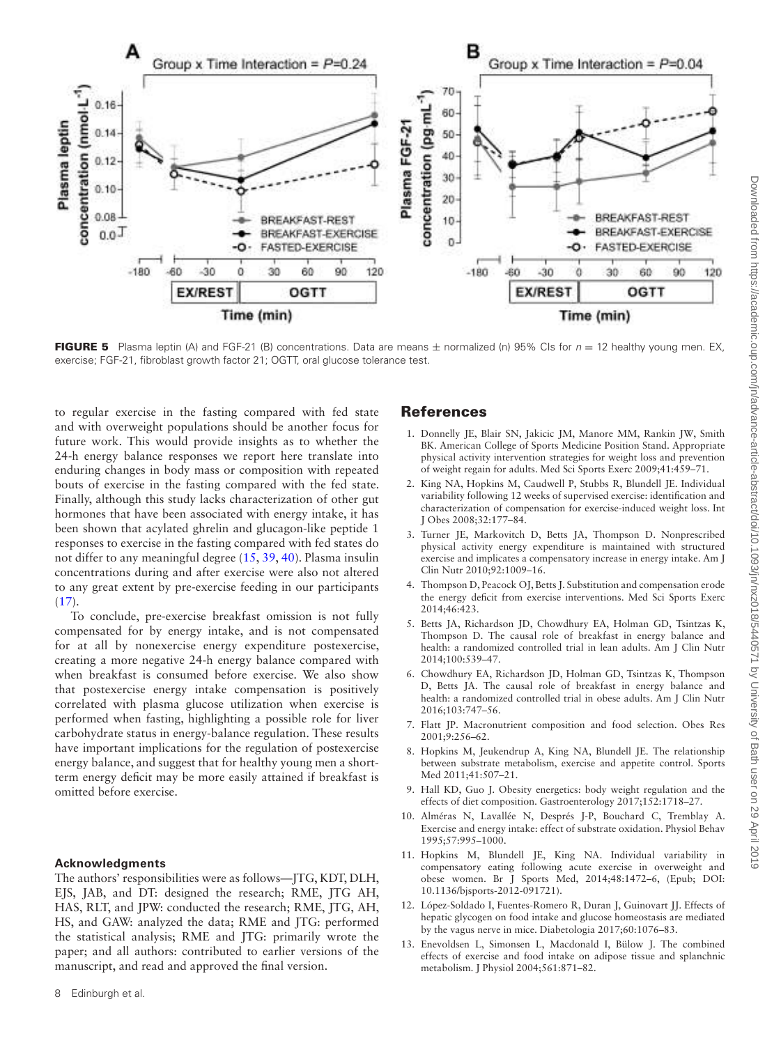<span id="page-7-13"></span>

**FIGURE 5** Plasma leptin (A) and FGF-21 (B) concentrations. Data are means  $\pm$  normalized (n) 95% CIs for  $n = 12$  healthy young men. EX, exercise; FGF-21, fibroblast growth factor 21; OGTT, oral glucose tolerance test.

to regular exercise in the fasting compared with fed state and with overweight populations should be another focus for future work. This would provide insights as to whether the 24-h energy balance responses we report here translate into enduring changes in body mass or composition with repeated bouts of exercise in the fasting compared with the fed state. Finally, although this study lacks characterization of other gut hormones that have been associated with energy intake, it has been shown that acylated ghrelin and glucagon-like peptide 1 responses to exercise in the fasting compared with fed states do not differ to any meaningful degree [\(15,](#page-8-1) [39,](#page-8-25) [40\)](#page-8-26). Plasma insulin concentrations during and after exercise were also not altered to any great extent by pre-exercise feeding in our participants  $(17)$ .

To conclude, pre-exercise breakfast omission is not fully compensated for by energy intake, and is not compensated for at all by nonexercise energy expenditure postexercise, creating a more negative 24-h energy balance compared with when breakfast is consumed before exercise. We also show that postexercise energy intake compensation is positively correlated with plasma glucose utilization when exercise is performed when fasting, highlighting a possible role for liver carbohydrate status in energy-balance regulation. These results have important implications for the regulation of postexercise energy balance, and suggest that for healthy young men a shortterm energy deficit may be more easily attained if breakfast is omitted before exercise.

# **Acknowledgments**

The authors' responsibilities were as follows—JTG, KDT, DLH, EJS, JAB, and DT: designed the research; RME, JTG AH, HAS, RLT, and JPW: conducted the research; RME, JTG, AH, HS, and GAW: analyzed the data; RME and JTG: performed the statistical analysis; RME and JTG: primarily wrote the paper; and all authors: contributed to earlier versions of the manuscript, and read and approved the final version.

# **References**

- <span id="page-7-0"></span>1. Donnelly JE, Blair SN, Jakicic JM, Manore MM, Rankin JW, Smith BK. American College of Sports Medicine Position Stand. Appropriate physical activity intervention strategies for weight loss and prevention of weight regain for adults. Med Sci Sports Exerc 2009;41:459–71.
- <span id="page-7-1"></span>2. King NA, Hopkins M, Caudwell P, Stubbs R, Blundell JE. Individual variability following 12 weeks of supervised exercise: identification and characterization of compensation for exercise-induced weight loss. Int J Obes 2008;32:177–84.
- <span id="page-7-2"></span>3. Turner JE, Markovitch D, Betts JA, Thompson D. Nonprescribed physical activity energy expenditure is maintained with structured exercise and implicates a compensatory increase in energy intake. Am J Clin Nutr 2010;92:1009–16.
- <span id="page-7-3"></span>4. Thompson D, Peacock OJ, Betts J. Substitution and compensation erode the energy deficit from exercise interventions. Med Sci Sports Exerc 2014;46:423.
- <span id="page-7-4"></span>5. Betts JA, Richardson JD, Chowdhury EA, Holman GD, Tsintzas K, Thompson D. The causal role of breakfast in energy balance and health: a randomized controlled trial in lean adults. Am J Clin Nutr 2014;100:539–47.
- <span id="page-7-5"></span>6. Chowdhury EA, Richardson JD, Holman GD, Tsintzas K, Thompson D, Betts JA. The causal role of breakfast in energy balance and health: a randomized controlled trial in obese adults. Am J Clin Nutr 2016;103:747–56.
- <span id="page-7-6"></span>7. Flatt JP. Macronutrient composition and food selection. Obes Res 2001;9:256–62.
- <span id="page-7-7"></span>8. Hopkins M, Jeukendrup A, King NA, Blundell JE. The relationship between substrate metabolism, exercise and appetite control. Sports Med 2011;41:507–21.
- <span id="page-7-8"></span>9. Hall KD, Guo J. Obesity energetics: body weight regulation and the effects of diet composition. Gastroenterology 2017;152:1718–27.
- <span id="page-7-9"></span>10. Alméras N, Lavallée N, Després J-P, Bouchard C, Tremblay A. Exercise and energy intake: effect of substrate oxidation. Physiol Behav 1995;57:995–1000.
- <span id="page-7-10"></span>11. Hopkins M, Blundell JE, King NA. Individual variability in compensatory eating following acute exercise in overweight and obese women. Br J Sports Med, 2014;48:1472–6, (Epub; DOI: 10.1136/bjsports-2012-091721).
- <span id="page-7-11"></span>12. López-Soldado I, Fuentes-Romero R, Duran J, Guinovart JJ. Effects of hepatic glycogen on food intake and glucose homeostasis are mediated by the vagus nerve in mice. Diabetologia 2017;60:1076–83.
- <span id="page-7-12"></span>13. Enevoldsen L, Simonsen L, Macdonald I, Bülow J. The combined effects of exercise and food intake on adipose tissue and splanchnic metabolism. J Physiol 2004;561:871–82.